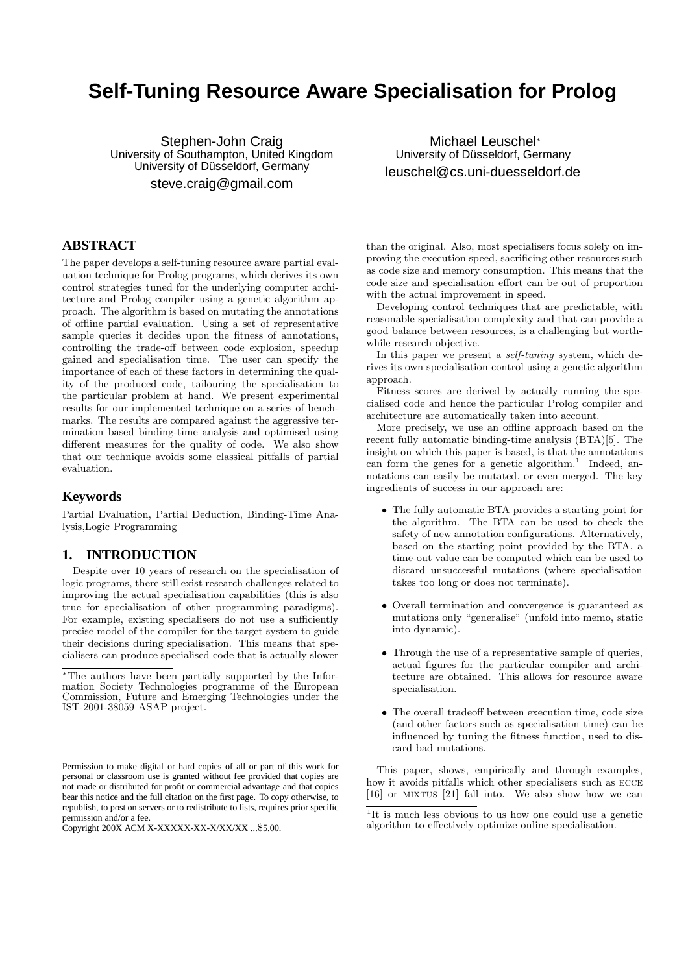# **Self-Tuning Resource Aware Specialisation for Prolog**

Stephen-John Craig University of Southampton, United Kingdom University of Düsseldorf, Germany steve.craig@gmail.com

Michael Leuschel<sup>∗</sup> University of Düsseldorf, Germany leuschel@cs.uni-duesseldorf.de

# **ABSTRACT**

The paper develops a self-tuning resource aware partial evaluation technique for Prolog programs, which derives its own control strategies tuned for the underlying computer architecture and Prolog compiler using a genetic algorithm approach. The algorithm is based on mutating the annotations of offline partial evaluation. Using a set of representative sample queries it decides upon the fitness of annotations, controlling the trade-off between code explosion, speedup gained and specialisation time. The user can specify the importance of each of these factors in determining the quality of the produced code, tailouring the specialisation to the particular problem at hand. We present experimental results for our implemented technique on a series of benchmarks. The results are compared against the aggressive termination based binding-time analysis and optimised using different measures for the quality of code. We also show that our technique avoids some classical pitfalls of partial evaluation.

## **Keywords**

Partial Evaluation, Partial Deduction, Binding-Time Analysis,Logic Programming

# **1. INTRODUCTION**

Despite over 10 years of research on the specialisation of logic programs, there still exist research challenges related to improving the actual specialisation capabilities (this is also true for specialisation of other programming paradigms). For example, existing specialisers do not use a sufficiently precise model of the compiler for the target system to guide their decisions during specialisation. This means that specialisers can produce specialised code that is actually slower

than the original. Also, most specialisers focus solely on improving the execution speed, sacrificing other resources such as code size and memory consumption. This means that the code size and specialisation effort can be out of proportion with the actual improvement in speed.

Developing control techniques that are predictable, with reasonable specialisation complexity and that can provide a good balance between resources, is a challenging but worthwhile research objective.

In this paper we present a self-tuning system, which derives its own specialisation control using a genetic algorithm approach.

Fitness scores are derived by actually running the specialised code and hence the particular Prolog compiler and architecture are automatically taken into account.

More precisely, we use an offline approach based on the recent fully automatic binding-time analysis (BTA)[5]. The insight on which this paper is based, is that the annotations can form the genes for a genetic algorithm.<sup>1</sup> Indeed, annotations can easily be mutated, or even merged. The key ingredients of success in our approach are:

- The fully automatic BTA provides a starting point for the algorithm. The BTA can be used to check the safety of new annotation configurations. Alternatively, based on the starting point provided by the BTA, a time-out value can be computed which can be used to discard unsuccessful mutations (where specialisation takes too long or does not terminate).
- Overall termination and convergence is guaranteed as mutations only "generalise" (unfold into memo, static into dynamic).
- Through the use of a representative sample of queries, actual figures for the particular compiler and architecture are obtained. This allows for resource aware specialisation.
- The overall tradeoff between execution time, code size (and other factors such as specialisation time) can be influenced by tuning the fitness function, used to discard bad mutations.

This paper, shows, empirically and through examples, how it avoids pitfalls which other specialisers such as ECCE [16] or MIXTUS [21] fall into. We also show how we can

<sup>∗</sup>The authors have been partially supported by the Information Society Technologies programme of the European Commission, Future and Emerging Technologies under the IST-2001-38059 ASAP project.

Permission to make digital or hard copies of all or part of this work for personal or classroom use is granted without fee provided that copies are not made or distributed for profit or commercial advantage and that copies bear this notice and the full citation on the first page. To copy otherwise, to republish, to post on servers or to redistribute to lists, requires prior specific permission and/or a fee.

Copyright 200X ACM X-XXXXX-XX-X/XX/XX ...\$5.00.

<sup>&</sup>lt;sup>1</sup>It is much less obvious to us how one could use a genetic algorithm to effectively optimize online specialisation.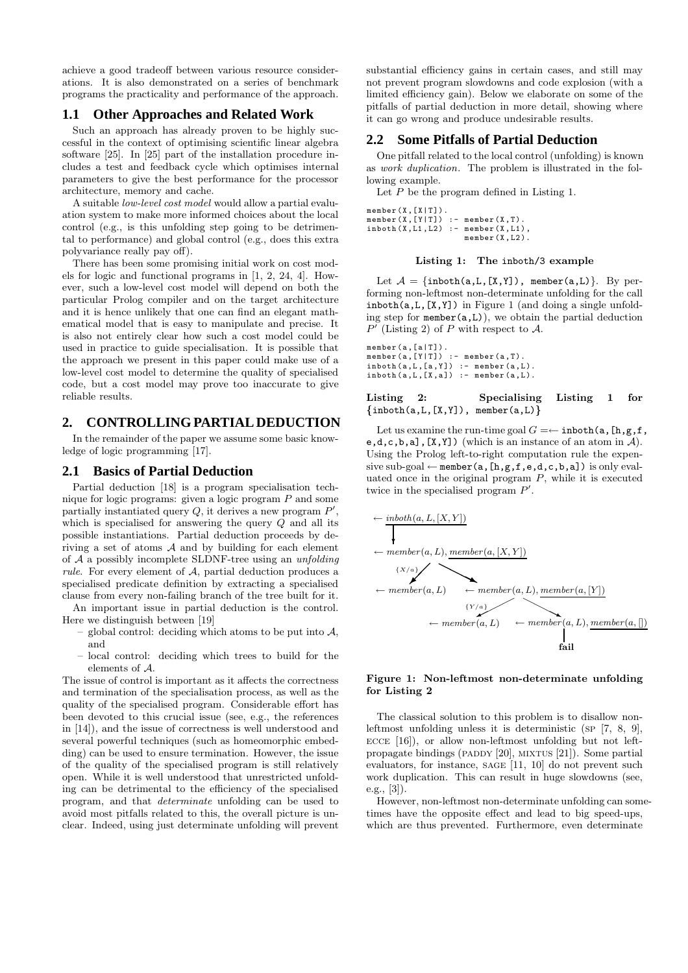achieve a good tradeoff between various resource considerations. It is also demonstrated on a series of benchmark programs the practicality and performance of the approach.

# **1.1 Other Approaches and Related Work**

Such an approach has already proven to be highly successful in the context of optimising scientific linear algebra software [25]. In [25] part of the installation procedure includes a test and feedback cycle which optimises internal parameters to give the best performance for the processor architecture, memory and cache.

A suitable low-level cost model would allow a partial evaluation system to make more informed choices about the local control (e.g., is this unfolding step going to be detrimental to performance) and global control (e.g., does this extra polyvariance really pay off).

There has been some promising initial work on cost models for logic and functional programs in [1, 2, 24, 4]. However, such a low-level cost model will depend on both the particular Prolog compiler and on the target architecture and it is hence unlikely that one can find an elegant mathematical model that is easy to manipulate and precise. It is also not entirely clear how such a cost model could be used in practice to guide specialisation. It is possible that the approach we present in this paper could make use of a low-level cost model to determine the quality of specialised code, but a cost model may prove too inaccurate to give reliable results.

# **2. CONTROLLING PARTIAL DEDUCTION**

In the remainder of the paper we assume some basic knowledge of logic programming [17].

#### **2.1 Basics of Partial Deduction**

Partial deduction [18] is a program specialisation technique for logic programs: given a logic program P and some partially instantiated query  $Q$ , it derives a new program  $P'$ , which is specialised for answering the query  $Q$  and all its possible instantiations. Partial deduction proceeds by deriving a set of atoms A and by building for each element of  $A$  a possibly incomplete SLDNF-tree using an unfolding rule. For every element of  $A$ , partial deduction produces a specialised predicate definition by extracting a specialised clause from every non-failing branch of the tree built for it.

An important issue in partial deduction is the control. Here we distinguish between [19]

- global control: deciding which atoms to be put into  $A$ , and
- local control: deciding which trees to build for the elements of A.

The issue of control is important as it affects the correctness and termination of the specialisation process, as well as the quality of the specialised program. Considerable effort has been devoted to this crucial issue (see, e.g., the references in [14]), and the issue of correctness is well understood and several powerful techniques (such as homeomorphic embedding) can be used to ensure termination. However, the issue of the quality of the specialised program is still relatively open. While it is well understood that unrestricted unfolding can be detrimental to the efficiency of the specialised program, and that determinate unfolding can be used to avoid most pitfalls related to this, the overall picture is unclear. Indeed, using just determinate unfolding will prevent

substantial efficiency gains in certain cases, and still may not prevent program slowdowns and code explosion (with a limited efficiency gain). Below we elaborate on some of the pitfalls of partial deduction in more detail, showing where it can go wrong and produce undesirable results.

### **2.2 Some Pitfalls of Partial Deduction**

One pitfall related to the local control (unfolding) is known as work duplication. The problem is illustrated in the following example.

Let  $P$  be the program defined in Listing 1.

```
member (X, [X|T])<br>member (X, [Y|T]): - member (X, T).
\texttt{inboth}(X, L1, L2) :- member (X, L1),
                             member (X, I, 2).
```
#### Listing 1: The inboth/3 example

Let  $A = \{\text{inboth}(a, L, [X, Y])\}$ , member $(a, L)$ . By performing non-leftmost non-determinate unfolding for the call  $\texttt{inboth}(a, L, [X, Y])$  in Figure 1 (and doing a single unfolding step for  $\text{member}(a, L)$ , we obtain the partial deduction  $P^{'}$  (Listing 2) of P with respect to A.

 $m$ ember (a, [a|T]).<br>member (a, [Y|T])  $:-$  member  $(a, T)$ .  $in both(a, L, [a, Y])$  :- member  $(a, L)$ .  $\texttt{inboth}(a, L, [X, a])$  :- member $(a, L)$ .

Listing 2: Specialising Listing 1 for  $\{inboth(a,L,[X,Y])$ , member $(a,L)\}$ 

Let us examine the run-time goal  $G = \leftarrow \texttt{inboth}(a, [h,g,f]$  $e,d,c,b,a]$ ,  $[X,Y]$ ) (which is an instance of an atom in  $A$ ). Using the Prolog left-to-right computation rule the expensive sub-goal  $\leftarrow$  member(a, [h,g,f,e,d,c,b,a]) is only evaluated once in the original program  $P$ , while it is executed twice in the specialised program  $P'$ .



#### Figure 1: Non-leftmost non-determinate unfolding for Listing 2

The classical solution to this problem is to disallow nonleftmost unfolding unless it is deterministic (sp [7, 8, 9], ecce [16]), or allow non-leftmost unfolding but not leftpropagate bindings (PADDY [20], MIXTUS [21]). Some partial evaluators, for instance, sage [11, 10] do not prevent such work duplication. This can result in huge slowdowns (see, e.g., [3]).

However, non-leftmost non-determinate unfolding can sometimes have the opposite effect and lead to big speed-ups, which are thus prevented. Furthermore, even determinate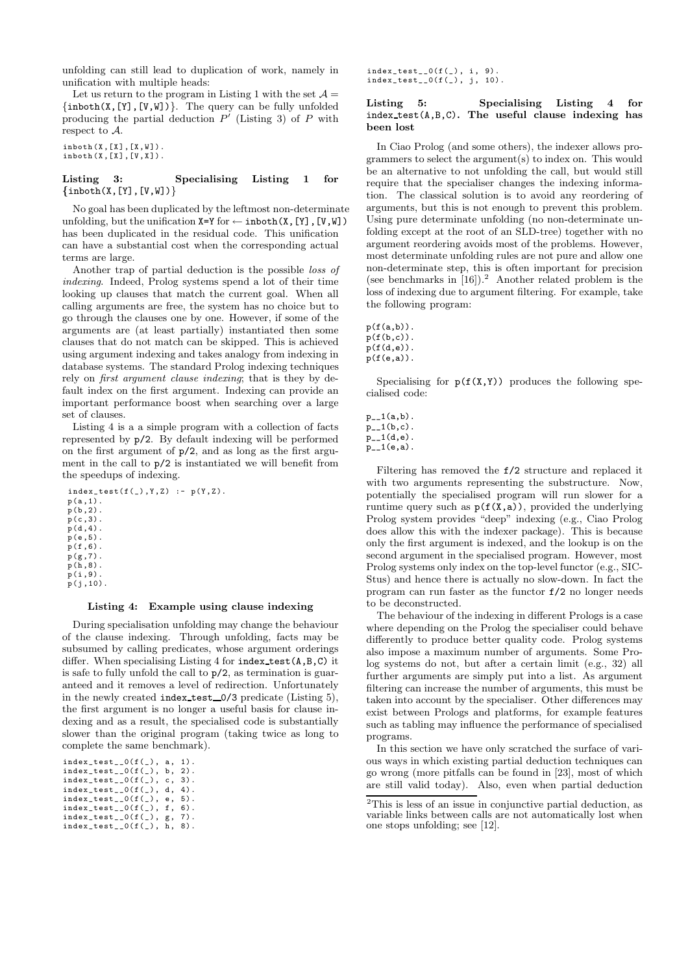unfolding can still lead to duplication of work, namely in unification with multiple heads:

Let us return to the program in Listing 1 with the set  $\mathcal{A} =$  $\{\text{inboth}(X,[Y],[V,W])\}.$  The query can be fully unfolded producing the partial deduction  $P^{\prime}$  (Listing 3) of P with respect to A.

inboth (X ,[ X ] ,[X ,W ]). inboth  $(X, [X], [V, X])$ .

#### Listing 3: Specialising Listing 1 for  $\{\text{inboth}(X,[Y],[V,W])\}$

No goal has been duplicated by the leftmost non-determinate unfolding, but the unification  $X=Y$  for  $\leftarrow \texttt{inboth}(X,[Y],[V,W])$ has been duplicated in the residual code. This unification can have a substantial cost when the corresponding actual terms are large.

Another trap of partial deduction is the possible loss of indexing. Indeed, Prolog systems spend a lot of their time looking up clauses that match the current goal. When all calling arguments are free, the system has no choice but to go through the clauses one by one. However, if some of the arguments are (at least partially) instantiated then some clauses that do not match can be skipped. This is achieved using argument indexing and takes analogy from indexing in database systems. The standard Prolog indexing techniques rely on first argument clause indexing; that is they by default index on the first argument. Indexing can provide an important performance boost when searching over a large set of clauses.

Listing 4 is a a simple program with a collection of facts represented by p/2. By default indexing will be performed on the first argument of p/2, and as long as the first argument in the call to p/2 is instantiated we will benefit from the speedups of indexing.

```
index\_test(f(\_), Y, Z) :- p(Y, Z).
p (a ,1).
p (b ,2).
p (c ,3).
p(d, 4).
p(e,5).
p (f ,6).
\mathtt{p}\left(\mathtt{g}\,,7\right) .
p(h, 8).
p (i ,9).
p(j,10).
```
#### Listing 4: Example using clause indexing

During specialisation unfolding may change the behaviour of the clause indexing. Through unfolding, facts may be subsumed by calling predicates, whose argument orderings differ. When specialising Listing 4 for index\_test(A,B,C) it is safe to fully unfold the call to p/2, as termination is guaranteed and it removes a level of redirection. Unfortunately in the newly created index\_test\_0/3 predicate (Listing 5), the first argument is no longer a useful basis for clause indexing and as a result, the specialised code is substantially slower than the original program (taking twice as long to complete the same benchmark).

| $index_test_0(f(.), a, 1).$     |  |
|---------------------------------|--|
| $index_test_0(f(.), b, 2).$     |  |
| $index_test_0(f(.), c, 3).$     |  |
| $index_test_0(f(.), d, 4).$     |  |
| $index_test_0(f(.), e, 5).$     |  |
| $index_test_0(f(.), f, 6).$     |  |
| index_test__0( $f(\_)$ , g, 7). |  |
| $index_test_0(f(.), h, 8).$     |  |
|                                 |  |

 $index\_test\_0(f(\_), i, 9).$  $index\_test\_0(f(_{})$ , j, 10).

#### Listing 5: Specialising Listing 4 for index test(A,B,C). The useful clause indexing has been lost

In Ciao Prolog (and some others), the indexer allows programmers to select the argument(s) to index on. This would be an alternative to not unfolding the call, but would still require that the specialiser changes the indexing information. The classical solution is to avoid any reordering of arguments, but this is not enough to prevent this problem. Using pure determinate unfolding (no non-determinate unfolding except at the root of an SLD-tree) together with no argument reordering avoids most of the problems. However, most determinate unfolding rules are not pure and allow one non-determinate step, this is often important for precision (see benchmarks in  $[16]$ ).<sup>2</sup> Another related problem is the loss of indexing due to argument filtering. For example, take the following program:

 $p(f(a,b))$ .  $p(f(b,c))$ .  $p(f(d,e))$ .

 $p(f(e,a))$ .

Specialising for  $p(f(X, Y))$  produces the following specialised code:

 $p_{-1}(a,b)$ .  $p_{-1}(b,c)$ .  $p_{-1}(d,e)$ .  $p_{-1}(e, a)$ .

Filtering has removed the f/2 structure and replaced it with two arguments representing the substructure. Now, potentially the specialised program will run slower for a runtime query such as  $p(f(X,a))$ , provided the underlying Prolog system provides "deep" indexing (e.g., Ciao Prolog does allow this with the indexer package). This is because only the first argument is indexed, and the lookup is on the second argument in the specialised program. However, most Prolog systems only index on the top-level functor (e.g., SIC-Stus) and hence there is actually no slow-down. In fact the program can run faster as the functor f/2 no longer needs to be deconstructed.

The behaviour of the indexing in different Prologs is a case where depending on the Prolog the specialiser could behave differently to produce better quality code. Prolog systems also impose a maximum number of arguments. Some Prolog systems do not, but after a certain limit (e.g., 32) all further arguments are simply put into a list. As argument filtering can increase the number of arguments, this must be taken into account by the specialiser. Other differences may exist between Prologs and platforms, for example features such as tabling may influence the performance of specialised programs.

In this section we have only scratched the surface of various ways in which existing partial deduction techniques can go wrong (more pitfalls can be found in [23], most of which are still valid today). Also, even when partial deduction

<sup>&</sup>lt;sup>2</sup>This is less of an issue in conjunctive partial deduction, as variable links between calls are not automatically lost when one stops unfolding; see [12].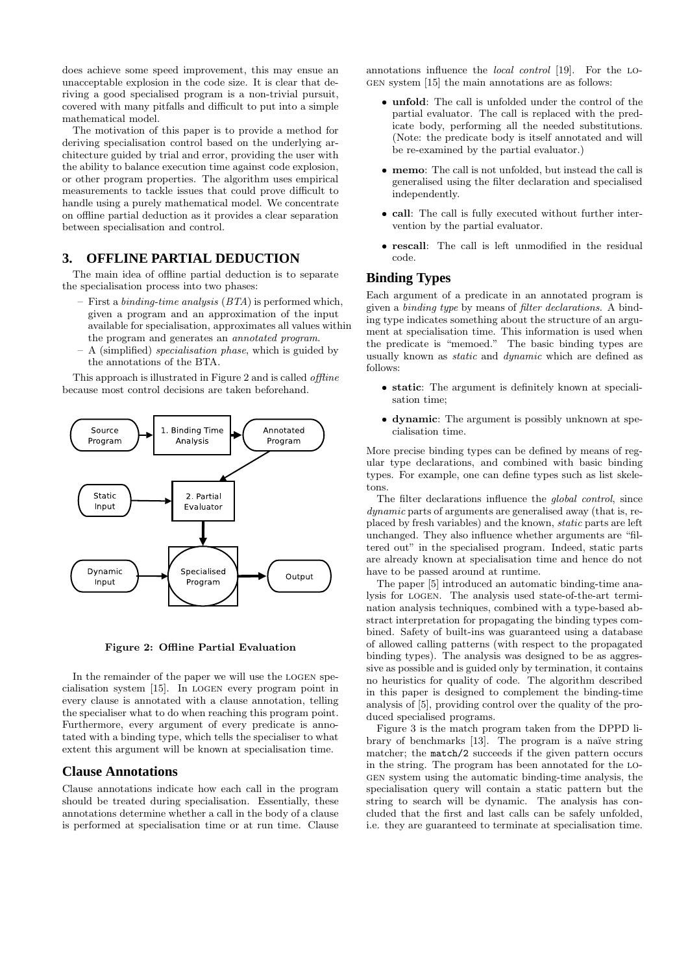does achieve some speed improvement, this may ensue an unacceptable explosion in the code size. It is clear that deriving a good specialised program is a non-trivial pursuit, covered with many pitfalls and difficult to put into a simple mathematical model.

The motivation of this paper is to provide a method for deriving specialisation control based on the underlying architecture guided by trial and error, providing the user with the ability to balance execution time against code explosion, or other program properties. The algorithm uses empirical measurements to tackle issues that could prove difficult to handle using a purely mathematical model. We concentrate on offline partial deduction as it provides a clear separation between specialisation and control.

# **3. OFFLINE PARTIAL DEDUCTION**

The main idea of offline partial deduction is to separate the specialisation process into two phases:

- First a *binding-time analysis*  $(BTA)$  is performed which, given a program and an approximation of the input available for specialisation, approximates all values within the program and generates an annotated program.
- A (simplified) specialisation phase, which is guided by the annotations of the BTA.

This approach is illustrated in Figure 2 and is called offline because most control decisions are taken beforehand.



Figure 2: Offline Partial Evaluation

In the remainder of the paper we will use the logen specialisation system [15]. In logen every program point in every clause is annotated with a clause annotation, telling the specialiser what to do when reaching this program point. Furthermore, every argument of every predicate is annotated with a binding type, which tells the specialiser to what extent this argument will be known at specialisation time.

### **Clause Annotations**

Clause annotations indicate how each call in the program should be treated during specialisation. Essentially, these annotations determine whether a call in the body of a clause is performed at specialisation time or at run time. Clause

annotations influence the local control [19]. For the logen system [15] the main annotations are as follows:

- unfold: The call is unfolded under the control of the partial evaluator. The call is replaced with the predicate body, performing all the needed substitutions. (Note: the predicate body is itself annotated and will be re-examined by the partial evaluator.)
- memo: The call is not unfolded, but instead the call is generalised using the filter declaration and specialised independently.
- call: The call is fully executed without further intervention by the partial evaluator.
- rescall: The call is left unmodified in the residual code.

## **Binding Types**

Each argument of a predicate in an annotated program is given a binding type by means of filter declarations. A binding type indicates something about the structure of an argument at specialisation time. This information is used when the predicate is "memoed." The basic binding types are usually known as static and dynamic which are defined as follows:

- static: The argument is definitely known at specialisation time;
- dynamic: The argument is possibly unknown at specialisation time.

More precise binding types can be defined by means of regular type declarations, and combined with basic binding types. For example, one can define types such as list skeletons.

The filter declarations influence the global control, since dynamic parts of arguments are generalised away (that is, replaced by fresh variables) and the known, static parts are left unchanged. They also influence whether arguments are "filtered out" in the specialised program. Indeed, static parts are already known at specialisation time and hence do not have to be passed around at runtime.

The paper [5] introduced an automatic binding-time analysis for logen. The analysis used state-of-the-art termination analysis techniques, combined with a type-based abstract interpretation for propagating the binding types combined. Safety of built-ins was guaranteed using a database of allowed calling patterns (with respect to the propagated binding types). The analysis was designed to be as aggressive as possible and is guided only by termination, it contains no heuristics for quality of code. The algorithm described in this paper is designed to complement the binding-time analysis of [5], providing control over the quality of the produced specialised programs.

Figure 3 is the match program taken from the DPPD library of benchmarks [13]. The program is a naïve string matcher; the match/2 succeeds if the given pattern occurs in the string. The program has been annotated for the logen system using the automatic binding-time analysis, the specialisation query will contain a static pattern but the string to search will be dynamic. The analysis has concluded that the first and last calls can be safely unfolded, i.e. they are guaranteed to terminate at specialisation time.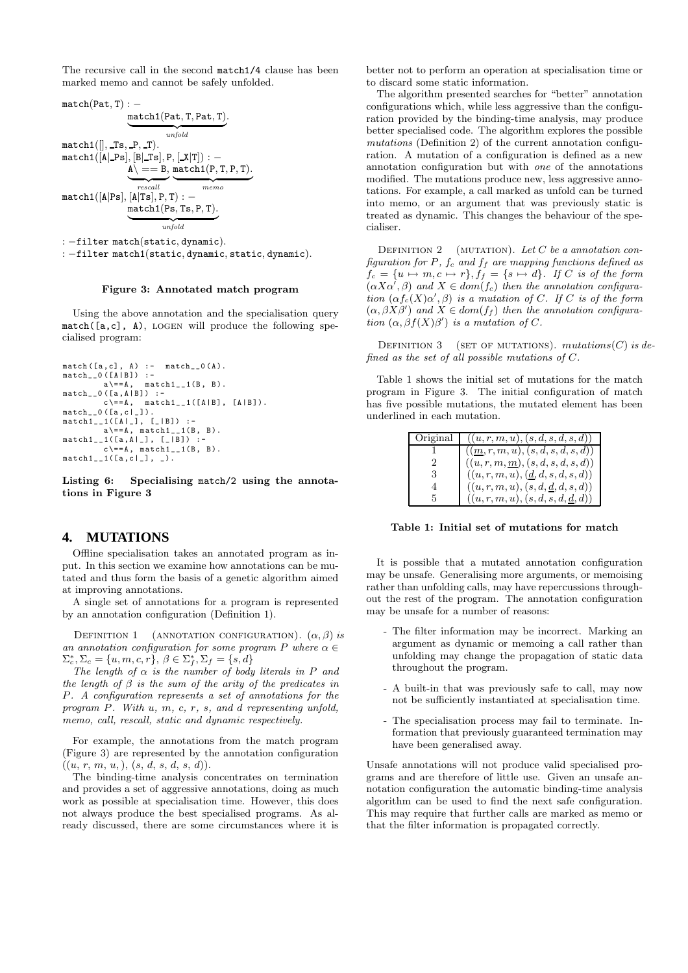The recursive call in the second match1/4 clause has been marked memo and cannot be safely unfolded.

match(Pat, T) : − match1(Pat, T, Pat, T) | {z } unfold . match1([], Ts, P, T). match1([A| Ps], [B| Ts], P, [ X|T]) : − A\ == B, | {z } rescall match1(P, T, P, T). | {z } memo match1([A|Ps], [A|Ts], P, T) : − match1(Ps, Ts, P, T). | {z } unfold

: −filter match(static, dynamic).

#### : −filter match1(static, dynamic, static, dynamic).

#### Figure 3: Annotated match program

Using the above annotation and the specialisation query  $match([a, c], A)$ , LOGEN will produce the following specialised program:

```
match([a, c], A) :- match_0(A).
match_{--}0 ( [A|B]) :-
a \n = A, \text{ match } 1_{-1}(B, B).match__0 ([a,A|B]) :-
             c \ = A, match1_{-1} (A \mid B), [A \mid B]).
match__0 ([a ,c|_ ]).
match1_{-1}([A|_], [I|B]) :-
a\==A, match1__1(B, B).<br>match1__1([a,A|_], [_|B]) :-
            c \backslash \texttt{==A} , \texttt{match1}\_\texttt{-1}(\texttt{B} , \texttt{B}) .
match1_{-1}([a, c | _], -).
```
Listing 6: Specialising match/2 using the annotations in Figure 3

### **4. MUTATIONS**

Offline specialisation takes an annotated program as input. In this section we examine how annotations can be mutated and thus form the basis of a genetic algorithm aimed at improving annotations.

A single set of annotations for a program is represented by an annotation configuration (Definition 1).

DEFINITION 1 (ANNOTATION CONFIGURATION).  $(\alpha, \beta)$  is an annotation configuration for some program P where  $\alpha \in$  $\Sigma_c^*, \Sigma_c = \{u, m, c, r\}, \ \beta \in \Sigma_f^*, \Sigma_f = \{s, d\}$ 

The length of  $\alpha$  is the number of body literals in P and the length of  $\beta$  is the sum of the arity of the predicates in P. A configuration represents a set of annotations for the program P. With u, m, c, r, s, and d representing unfold, memo, call, rescall, static and dynamic respectively.

For example, the annotations from the match program (Figure 3) are represented by the annotation configuration  $((u, r, m, u,), (s, d, s, d, s, d)).$ 

The binding-time analysis concentrates on termination and provides a set of aggressive annotations, doing as much work as possible at specialisation time. However, this does not always produce the best specialised programs. As already discussed, there are some circumstances where it is better not to perform an operation at specialisation time or to discard some static information.

The algorithm presented searches for "better" annotation configurations which, while less aggressive than the configuration provided by the binding-time analysis, may produce better specialised code. The algorithm explores the possible mutations (Definition 2) of the current annotation configuration. A mutation of a configuration is defined as a new annotation configuration but with one of the annotations modified. The mutations produce new, less aggressive annotations. For example, a call marked as unfold can be turned into memo, or an argument that was previously static is treated as dynamic. This changes the behaviour of the specialiser.

DEFINITION 2 (MUTATION). Let  $C$  be a annotation configuration for  $P$ ,  $f_c$  and  $f_f$  are mapping functions defined as  $f_c = \{u \mapsto m, c \mapsto r\}, f_f = \{s \mapsto d\}.$  If C is of the form  $(\alpha X \alpha', \beta)$  and  $X \in dom(f_c)$  then the annotation configuration  $(\alpha f_c(X)\alpha', \beta)$  is a mutation of C. If C is of the form  $(\alpha, \beta X \beta')$  and  $X \in dom(f_f)$  then the annotation configuration  $(\alpha, \beta f(X)\beta')$  is a mutation of C.

DEFINITION 3 (SET OF MUTATIONS).  $mutations(C)$  is defined as the set of all possible mutations of C.

Table 1 shows the initial set of mutations for the match program in Figure 3. The initial configuration of match has five possible mutations, the mutated element has been underlined in each mutation.

| Original | ((u, r, m, u), (s, d, s, d, s, d))               |
|----------|--------------------------------------------------|
|          | ((m, r, m, u), (s, d, s, d, s, d))               |
| 2        | ((u, r, m, m), (s, d, s, d, s, d))               |
| 3        | $((u, r, m, u), (\underline{d}, d, s, d, s, d))$ |
| 4        | $((u, r, m, u), (s, d, \underline{d}, d, s, d))$ |
| 5.       | $((u, r, m, u), (s, d, s, d, \underline{d}, d))$ |

Table 1: Initial set of mutations for match

It is possible that a mutated annotation configuration may be unsafe. Generalising more arguments, or memoising rather than unfolding calls, may have repercussions throughout the rest of the program. The annotation configuration may be unsafe for a number of reasons:

- The filter information may be incorrect. Marking an argument as dynamic or memoing a call rather than unfolding may change the propagation of static data throughout the program.
- A built-in that was previously safe to call, may now not be sufficiently instantiated at specialisation time.
- The specialisation process may fail to terminate. Information that previously guaranteed termination may have been generalised away.

Unsafe annotations will not produce valid specialised programs and are therefore of little use. Given an unsafe annotation configuration the automatic binding-time analysis algorithm can be used to find the next safe configuration. This may require that further calls are marked as memo or that the filter information is propagated correctly.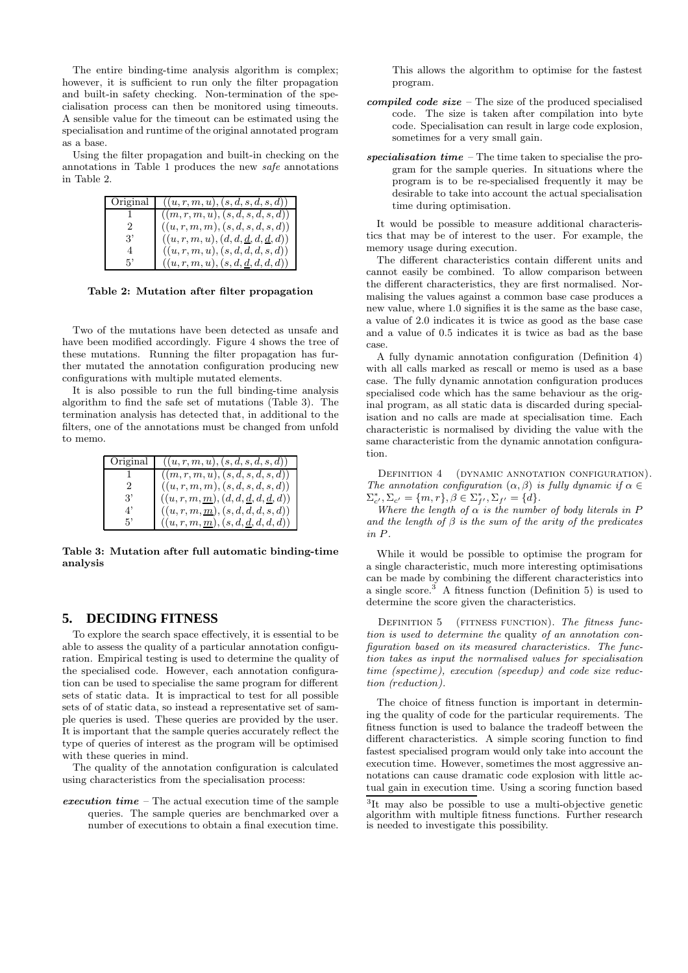The entire binding-time analysis algorithm is complex; however, it is sufficient to run only the filter propagation and built-in safety checking. Non-termination of the specialisation process can then be monitored using timeouts. A sensible value for the timeout can be estimated using the specialisation and runtime of the original annotated program as a base.

Using the filter propagation and built-in checking on the annotations in Table 1 produces the new safe annotations in Table 2.

| Original       | ((u, r, m, u), (s, d, s, d, s, d))                           |
|----------------|--------------------------------------------------------------|
|                | ((m, r, m, u), (s, d, s, d, s, d))                           |
| 2              | ((u, r, m, m), (s, d, s, d, s, d))                           |
| 3'             | $((u, r, m, u), (d, d, \underline{d}, d, \underline{d}, d))$ |
| $\overline{4}$ | ((u, r, m, u), (s, d, d, d, s, d))                           |
| 5'             | $((u, r, m, u), (s, d, \underline{d}, d, d, d))$             |

Table 2: Mutation after filter propagation

Two of the mutations have been detected as unsafe and have been modified accordingly. Figure 4 shows the tree of these mutations. Running the filter propagation has further mutated the annotation configuration producing new configurations with multiple mutated elements.

It is also possible to run the full binding-time analysis algorithm to find the safe set of mutations (Table 3). The termination analysis has detected that, in additional to the filters, one of the annotations must be changed from unfold to memo.

| Original | ((u, r, m, u), (s, d, s, d, s, d)) |
|----------|------------------------------------|
|          | ((m, r, m, u), (s, d, s, d, s, d)) |
| 2        | ((u, r, m, m), (s, d, s, d, s, d)) |
| 3'       | ((u, r, m, m), (d, d, d, d, d, d)) |
| 4'       | ((u, r, m, m), (s, d, d, d, s, d)) |
| 5'       | ((u, r, m, m), (s, d, d, d, d))    |

Table 3: Mutation after full automatic binding-time analysis

## **5. DECIDING FITNESS**

To explore the search space effectively, it is essential to be able to assess the quality of a particular annotation configuration. Empirical testing is used to determine the quality of the specialised code. However, each annotation configuration can be used to specialise the same program for different sets of static data. It is impractical to test for all possible sets of of static data, so instead a representative set of sample queries is used. These queries are provided by the user. It is important that the sample queries accurately reflect the type of queries of interest as the program will be optimised with these queries in mind.

The quality of the annotation configuration is calculated using characteristics from the specialisation process:

execution time – The actual execution time of the sample queries. The sample queries are benchmarked over a number of executions to obtain a final execution time. This allows the algorithm to optimise for the fastest program.

- compiled code  $size$  The size of the produced specialised code. The size is taken after compilation into byte code. Specialisation can result in large code explosion, sometimes for a very small gain.
- specialisation time The time taken to specialise the program for the sample queries. In situations where the program is to be re-specialised frequently it may be desirable to take into account the actual specialisation time during optimisation.

It would be possible to measure additional characteristics that may be of interest to the user. For example, the memory usage during execution.

The different characteristics contain different units and cannot easily be combined. To allow comparison between the different characteristics, they are first normalised. Normalising the values against a common base case produces a new value, where 1.0 signifies it is the same as the base case, a value of 2.0 indicates it is twice as good as the base case and a value of 0.5 indicates it is twice as bad as the base case.

A fully dynamic annotation configuration (Definition 4) with all calls marked as rescall or memo is used as a base case. The fully dynamic annotation configuration produces specialised code which has the same behaviour as the original program, as all static data is discarded during specialisation and no calls are made at specialisation time. Each characteristic is normalised by dividing the value with the same characteristic from the dynamic annotation configuration.

DEFINITION 4 (DYNAMIC ANNOTATION CONFIGURATION). The annotation configuration  $(\alpha, \beta)$  is fully dynamic if  $\alpha \in$  $\Sigma_{c'}^*$ ,  $\Sigma_{c'} = \{m, r\}, \beta \in \Sigma_{f'}^*$ ,  $\Sigma_{f'} = \{d\}.$ 

Where the length of  $\alpha$  is the number of body literals in P and the length of  $\beta$  is the sum of the arity of the predicates in P.

While it would be possible to optimise the program for a single characteristic, much more interesting optimisations can be made by combining the different characteristics into a single score.<sup>3</sup> A fitness function (Definition 5) is used to determine the score given the characteristics.

DEFINITION 5 (FITNESS FUNCTION). The fitness function is used to determine the quality of an annotation configuration based on its measured characteristics. The function takes as input the normalised values for specialisation time (spectime), execution (speedup) and code size reduction (reduction).

The choice of fitness function is important in determining the quality of code for the particular requirements. The fitness function is used to balance the tradeoff between the different characteristics. A simple scoring function to find fastest specialised program would only take into account the execution time. However, sometimes the most aggressive annotations can cause dramatic code explosion with little actual gain in execution time. Using a scoring function based

<sup>&</sup>lt;sup>3</sup>It may also be possible to use a multi-objective genetic algorithm with multiple fitness functions. Further research is needed to investigate this possibility.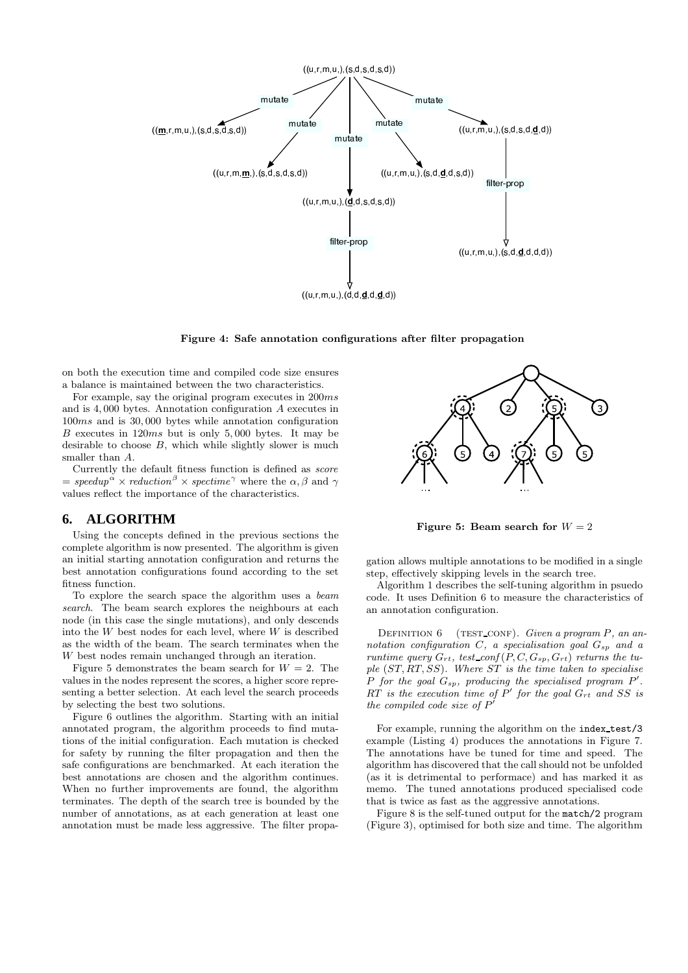

Figure 4: Safe annotation configurations after filter propagation

on both the execution time and compiled code size ensures a balance is maintained between the two characteristics.

For example, say the original program executes in 200ms and is 4, 000 bytes. Annotation configuration A executes in 100ms and is 30, 000 bytes while annotation configuration  $B$  executes in 120 $ms$  but is only 5,000 bytes. It may be desirable to choose  $B$ , which while slightly slower is much smaller than A.

Currently the default fitness function is defined as score  $= speedup^{\alpha} \times reduction^{\beta} \times spectrum^{\gamma}$  where the  $\alpha, \beta$  and  $\gamma$ values reflect the importance of the characteristics.

## **6. ALGORITHM**

Using the concepts defined in the previous sections the complete algorithm is now presented. The algorithm is given an initial starting annotation configuration and returns the best annotation configurations found according to the set fitness function.

To explore the search space the algorithm uses a beam search. The beam search explores the neighbours at each node (in this case the single mutations), and only descends into the  $W$  best nodes for each level, where  $W$  is described as the width of the beam. The search terminates when the W best nodes remain unchanged through an iteration.

Figure 5 demonstrates the beam search for  $W = 2$ . The values in the nodes represent the scores, a higher score representing a better selection. At each level the search proceeds by selecting the best two solutions.

Figure 6 outlines the algorithm. Starting with an initial annotated program, the algorithm proceeds to find mutations of the initial configuration. Each mutation is checked for safety by running the filter propagation and then the safe configurations are benchmarked. At each iteration the best annotations are chosen and the algorithm continues. When no further improvements are found, the algorithm terminates. The depth of the search tree is bounded by the number of annotations, as at each generation at least one annotation must be made less aggressive. The filter propa-



Figure 5: Beam search for  $W = 2$ 

gation allows multiple annotations to be modified in a single step, effectively skipping levels in the search tree.

Algorithm 1 describes the self-tuning algorithm in psuedo code. It uses Definition 6 to measure the characteristics of an annotation configuration.

DEFINITION  $6$  (TEST\_CONF). Given a program P, an annotation configuration  $C$ , a specialisation goal  $G_{sp}$  and a runtime query  $G_{rt}$ , test\_conf $(P, C, G_{sp}, G_{rt})$  returns the tuple  $(ST, RT, SS)$ . Where  $ST$  is the time taken to specialise P for the goal  $G_{sp}$ , producing the specialised program P'.  $RT$  is the execution time of P' for the goal  $G_{rt}$  and SS is the compiled code size of  $P'$ 

For example, running the algorithm on the index\_test/3 example (Listing 4) produces the annotations in Figure 7. The annotations have be tuned for time and speed. The algorithm has discovered that the call should not be unfolded (as it is detrimental to performace) and has marked it as memo. The tuned annotations produced specialised code that is twice as fast as the aggressive annotations.

Figure 8 is the self-tuned output for the match/2 program (Figure 3), optimised for both size and time. The algorithm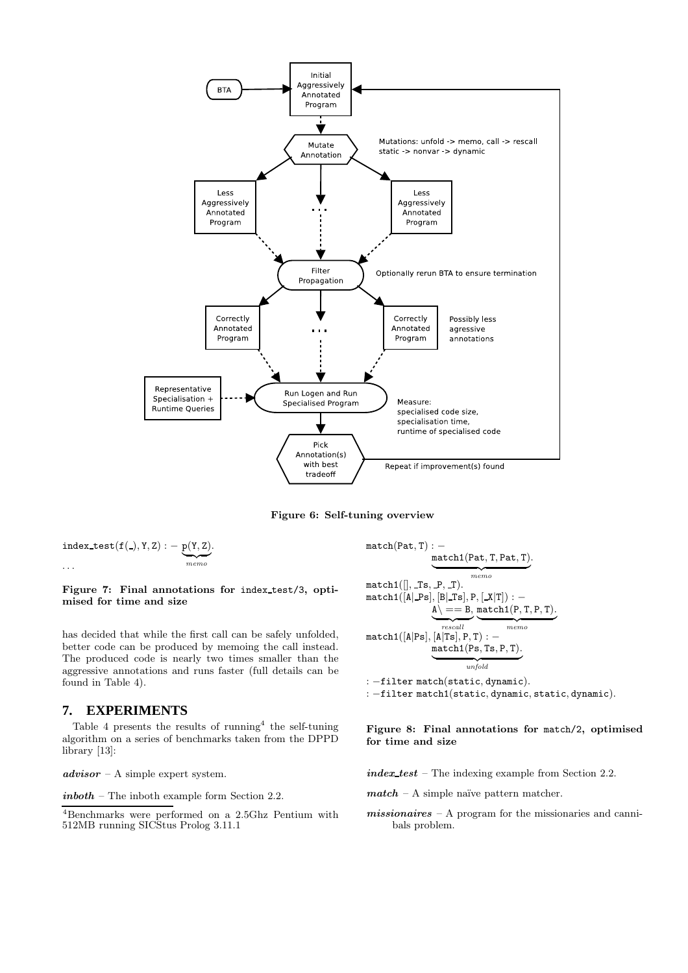

Figure 6: Self-tuning overview

 $index\_test(f(.), Y, Z) : - p(Y, Z).$ memo . . .

Figure 7: Final annotations for index test/3, optimised for time and size

has decided that while the first call can be safely unfolded, better code can be produced by memoing the call instead. The produced code is nearly two times smaller than the aggressive annotations and runs faster (full details can be found in Table 4).

### **7. EXPERIMENTS**

Table 4 presents the results of running<sup>4</sup> the self-tuning algorithm on a series of benchmarks taken from the DPPD library [13]:

 $advisor - A$  simple expert system.

inboth – The inboth example form Section 2.2.

<sup>4</sup>Benchmarks were performed on a 2.5Ghz Pentium with 512MB running SICStus Prolog 3.11.1

 $match(Pat, T) : \mathtt{match1}(\mathtt{Pat}, \mathtt{T}, \mathtt{Pat}, \mathtt{T}).$ | {z } memo  $match1([], Ts, P, T).$  $match1([A|-Ps], [B|-Ts], P, [-X|T]) : \texttt{A}\backslash==\texttt{B}, \texttt{match1}(\texttt{P}, \texttt{T}, \texttt{P}, \texttt{T}).$ *ئــــہ*ــَـ rescall | {z } memo  $match1([A|Ps], [A|Ts], P, T)$  :  $match1(Ps, Ts, P, T).$  $\overbrace{\hspace{27mm}}^{x }$ unfold : −filter match(static, dynamic).

: −filter match1(static, dynamic, static, dynamic).

## Figure 8: Final annotations for match/2, optimised for time and size

 $index\_test$  – The indexing example from Section 2.2.

 $match - A$  simple naïve pattern matcher.

 $missionaires - A program for the missionaries and canni$ bals problem.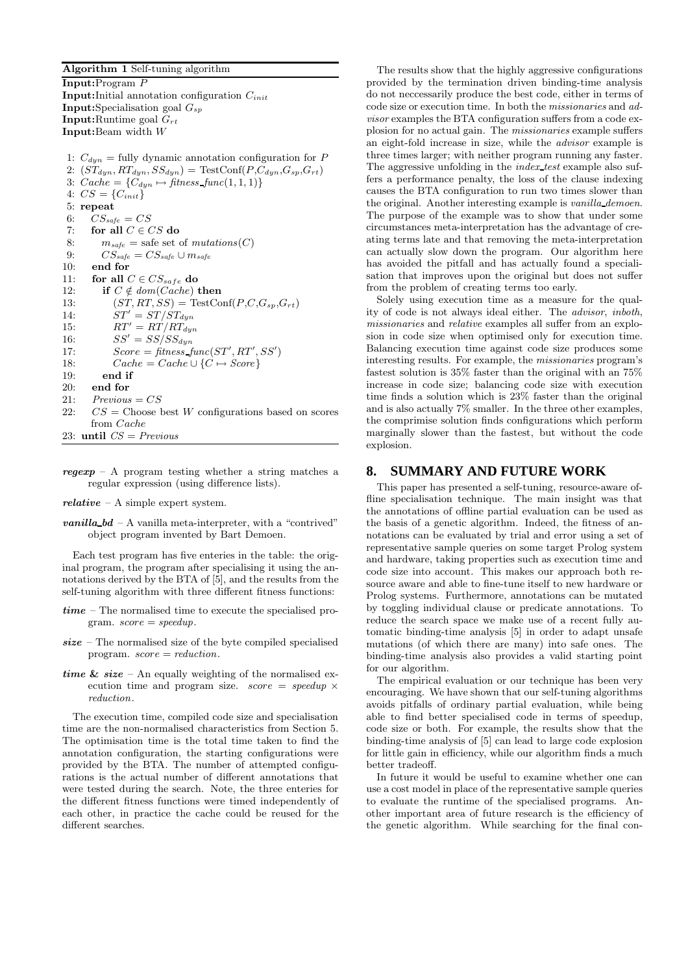Algorithm 1 Self-tuning algorithm

Input:Program P **Input:**Initial annotation configuration  $C_{init}$ **Input:**Specialisation goal  $G_{sp}$ **Input:**Runtime goal  $G_{rt}$ Input:Beam width W

1:  $C_{dyn}$  = fully dynamic annotation configuration for P 2:  $(ST_{dyn}, RT_{dyn}, SS_{dyn}) = TestConf(P, C_{dyn}, G_{sp}, G_{rt})$ 3:  $Cache = \{C_{dyn} \mapsto fitness\_func(1, 1, 1)\}\$ 4:  $CS = \{C_{init}\}\$ 5: repeat 6:  $CS_{safe} = CS$ 7: for all  $C \in CS$  do 8:  $m_{safe} = \text{safe set of mutations}(C)$ 9:  $CS_{safe} = CS_{safe} \cup m_{safe}$ 10: end for 11: for all  $C \in CS_{safe}$  do 12: if  $C \notin dom(Cache)$  then 13:  $(ST, RT, SS) = TestConf(P, C, G_{sp}, G_{rt})$ 14:  $ST' = ST/ST_{dyn}$ 15:  $RT' = RT/RT_{dyn}$ 16:  $SS' = SS/SS_{dyn}$ 17:  $Score = \int$ fitness\_func(ST', RT', SS') 18:  $Cache = Cache \cup \{C \mapsto Score\}$ 19: end if 20: end for<br>21:  $Previous$  $Previous = CS$ 22:  $CS = \text{Choose best } W$  configurations based on scores from Cache 23: until  $CS = Previous$ 

- regexp A program testing whether a string matches a regular expression (using difference lists).
- relative A simple expert system.
- **vanilla\_bd** A vanilla meta-interpreter, with a "contrived" object program invented by Bart Demoen.

Each test program has five enteries in the table: the original program, the program after specialising it using the annotations derived by the BTA of [5], and the results from the self-tuning algorithm with three different fitness functions:

- time The normalised time to execute the specialised program.  $score = speedup$ .
- $size$  The normalised size of the byte compiled specialised program.  $score = reduction$ .
- time & size An equally weighting of the normalised execution time and program size.  $score = speedup \times$ reduction.

The execution time, compiled code size and specialisation time are the non-normalised characteristics from Section 5. The optimisation time is the total time taken to find the annotation configuration, the starting configurations were provided by the BTA. The number of attempted configurations is the actual number of different annotations that were tested during the search. Note, the three enteries for the different fitness functions were timed independently of each other, in practice the cache could be reused for the different searches.

The results show that the highly aggressive configurations provided by the termination driven binding-time analysis do not neccessarily produce the best code, either in terms of code size or execution time. In both the missionaries and advisor examples the BTA configuration suffers from a code explosion for no actual gain. The missionaries example suffers an eight-fold increase in size, while the advisor example is three times larger; with neither program running any faster. The aggressive unfolding in the *index test* example also suffers a performance penalty, the loss of the clause indexing causes the BTA configuration to run two times slower than the original. Another interesting example is *vanilla demoen*. The purpose of the example was to show that under some circumstances meta-interpretation has the advantage of creating terms late and that removing the meta-interpretation can actually slow down the program. Our algorithm here has avoided the pitfall and has actually found a specialisation that improves upon the original but does not suffer from the problem of creating terms too early.

Solely using execution time as a measure for the quality of code is not always ideal either. The advisor, inboth, missionaries and relative examples all suffer from an explosion in code size when optimised only for execution time. Balancing execution time against code size produces some interesting results. For example, the missionaries program's fastest solution is 35% faster than the original with an 75% increase in code size; balancing code size with execution time finds a solution which is 23% faster than the original and is also actually 7% smaller. In the three other examples, the comprimise solution finds configurations which perform marginally slower than the fastest, but without the code explosion.

#### **8. SUMMARY AND FUTURE WORK**

This paper has presented a self-tuning, resource-aware offline specialisation technique. The main insight was that the annotations of offline partial evaluation can be used as the basis of a genetic algorithm. Indeed, the fitness of annotations can be evaluated by trial and error using a set of representative sample queries on some target Prolog system and hardware, taking properties such as execution time and code size into account. This makes our approach both resource aware and able to fine-tune itself to new hardware or Prolog systems. Furthermore, annotations can be mutated by toggling individual clause or predicate annotations. To reduce the search space we make use of a recent fully automatic binding-time analysis [5] in order to adapt unsafe mutations (of which there are many) into safe ones. The binding-time analysis also provides a valid starting point for our algorithm.

The empirical evaluation or our technique has been very encouraging. We have shown that our self-tuning algorithms avoids pitfalls of ordinary partial evaluation, while being able to find better specialised code in terms of speedup, code size or both. For example, the results show that the binding-time analysis of [5] can lead to large code explosion for little gain in efficiency, while our algorithm finds a much better tradeoff.

In future it would be useful to examine whether one can use a cost model in place of the representative sample queries to evaluate the runtime of the specialised programs. Another important area of future research is the efficiency of the genetic algorithm. While searching for the final con-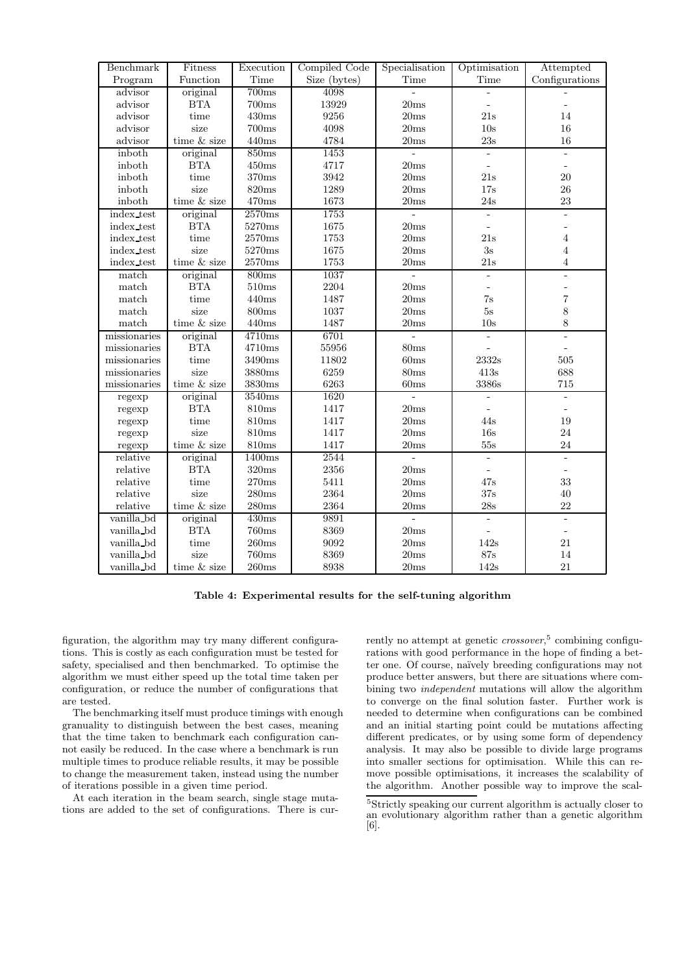| Benchmark    | Fitness              | Execution          | Compiled Code | Specialisation   | Optimisation    | Attempted      |
|--------------|----------------------|--------------------|---------------|------------------|-----------------|----------------|
| Program      | Function             | Time               | Size (bytes)  | Time             | Time            | Configurations |
| advisor      | original             | 700ms              | 4098          |                  |                 |                |
| advisor      | <b>BTA</b>           | 700ms              | 13929         | 20ms             |                 |                |
| advisor      | time                 | 430ms              | 9256          | 20ms             | 21s             | 14             |
| advisor      | size                 | 700ms              | 4098          | 20ms             | 10s             | 16             |
| advisor      | time & size          | 440ms              | 4784          | $20\mathrm{ms}$  | $23\mathrm{s}$  | 16             |
| inboth       | original             | 850ms              | 1453          |                  | $\overline{a}$  | ÷.             |
| inboth       | BTA                  | 450ms              | 4717          | 20ms             |                 |                |
| inboth       | time                 | 370ms              | 3942          | 20ms             | 21s             | 20             |
| inboth       | size                 | 820ms              | 1289          | $20\mathrm{ms}$  | 17s             | $26\,$         |
| inboth       | time & size          | 470ms              | 1673          | 20ms             | $24\mathrm{s}$  | 23             |
| index_test   | original             | 2570ms             | 1753          |                  |                 |                |
| index test   | <b>BTA</b>           | 5270ms             | $1675\,$      | 20ms             |                 |                |
| index test   | time                 | 2570ms             | 1753          | 20ms             | 21s             | $\overline{4}$ |
| index test   | size                 | 5270ms             | $1675\,$      | 20ms             | 3s              | $\overline{4}$ |
| index_test   | time $\&$ size       | $2570 \mathrm{ms}$ | 1753          | $20\mathrm{ms}$  | $21\mathrm{s}$  | $\overline{4}$ |
| match        | original             | 800ms              | 1037          |                  |                 |                |
| match        | <b>BTA</b>           | $510\mathrm{ms}$   | 2204          | $20\mathrm{ms}$  |                 |                |
| match        | time                 | 440ms              | 1487          | 20ms             | $7\mathrm{s}$   | 7              |
| match        | size                 | 800ms              | 1037          | 20ms             | $5\mathrm{s}$   | $8\,$          |
| match        | time & size          | 440ms              | 1487          | 20ms             | 10s             | 8              |
| missionaries | original             | 4710ms             | 6701          | $\overline{a}$   | $\sim$          |                |
| missionaries | <b>BTA</b>           | 4710ms             | 55956         | 80ms             |                 |                |
| missionaries | time                 | 3490ms             | 11802         | 60ms             | 2332s           | 505            |
| missionaries | size                 | 3880ms             | 6259          | 80ms             | 413s            | 688            |
| missionaries | time $\&$ size       | 3830ms             | 6263          | $60 \mathrm{ms}$ | 3386s           | 715            |
| regexp       | original             | 3540ms             | 1620          |                  |                 |                |
| regexp       | $\operatorname{BTA}$ | 810ms              | 1417          | 20ms             |                 | $\bar{a}$      |
| regexp       | time                 | 810ms              | 1417          | 20ms             | 44s             | 19             |
| regexp       | size                 | 810ms              | 1417          | $20\mathrm{ms}$  | 16s             | $24\,$         |
| regexp       | time & size          | 810ms              | 1417          | 20ms             | $55s$           | 24             |
| relative     | original             | 1400ms             | 2544          | $\overline{a}$   | $\overline{a}$  | $\overline{a}$ |
| relative     | $\operatorname{BTA}$ | 320ms              | $\,2356$      | 20ms             |                 | $\blacksquare$ |
| relative     | time                 | 270ms              | 5411          | 20ms             | 47s             | 33             |
| relative     | size                 | 280ms              | 2364          | 20ms             | 37s             | $40\,$         |
| relative     | time $\&$ size       | 280ms              | $\,2364$      | 20ms             | 28s             | 22             |
| vanilla bd   | original             | 430ms              | 9891          |                  | $\overline{a}$  | $\frac{1}{2}$  |
| vanilla bd   | <b>BTA</b>           | 760ms              | 8369          | 20ms             |                 |                |
| vanilla_bd   | $time$               | 260ms              | 9092          | $20\mathrm{ms}$  | 142s            | $21\,$         |
| vanilla_bd   | size                 | 760ms              | 8369          | 20ms             | $87\mathrm{s}$  | $14\,$         |
| vanilla_bd   | time & size          | 260ms              | 8938          | $20\mathrm{ms}$  | $142\mathrm{s}$ | $21\,$         |

Table 4: Experimental results for the self-tuning algorithm

figuration, the algorithm may try many different configurations. This is costly as each configuration must be tested for safety, specialised and then benchmarked. To optimise the algorithm we must either speed up the total time taken per configuration, or reduce the number of configurations that are tested.

The benchmarking itself must produce timings with enough granuality to distinguish between the best cases, meaning that the time taken to benchmark each configuration cannot easily be reduced. In the case where a benchmark is run multiple times to produce reliable results, it may be possible to change the measurement taken, instead using the number of iterations possible in a given time period.

At each iteration in the beam search, single stage mutations are added to the set of configurations. There is cur-

rently no attempt at genetic *crossover*,<sup>5</sup> combining configurations with good performance in the hope of finding a better one. Of course, naïvely breeding configurations may not produce better answers, but there are situations where combining two independent mutations will allow the algorithm to converge on the final solution faster. Further work is needed to determine when configurations can be combined and an initial starting point could be mutations affecting different predicates, or by using some form of dependency analysis. It may also be possible to divide large programs into smaller sections for optimisation. While this can remove possible optimisations, it increases the scalability of the algorithm. Another possible way to improve the scal-

<sup>5</sup> Strictly speaking our current algorithm is actually closer to an evolutionary algorithm rather than a genetic algorithm [6].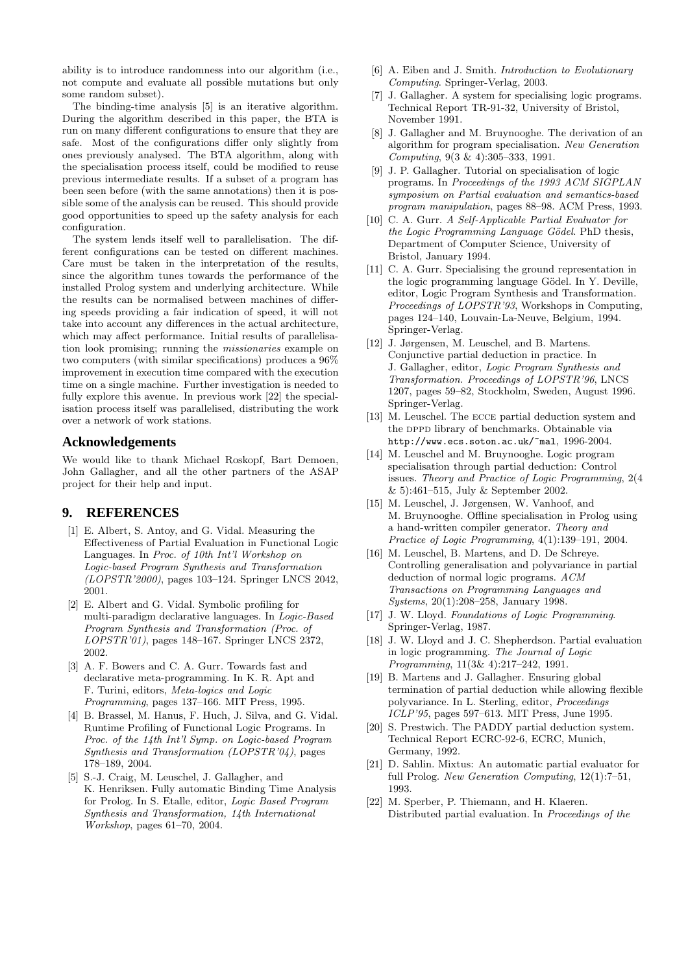ability is to introduce randomness into our algorithm (i.e., not compute and evaluate all possible mutations but only some random subset).

The binding-time analysis [5] is an iterative algorithm. During the algorithm described in this paper, the BTA is run on many different configurations to ensure that they are safe. Most of the configurations differ only slightly from ones previously analysed. The BTA algorithm, along with the specialisation process itself, could be modified to reuse previous intermediate results. If a subset of a program has been seen before (with the same annotations) then it is possible some of the analysis can be reused. This should provide good opportunities to speed up the safety analysis for each configuration.

The system lends itself well to parallelisation. The different configurations can be tested on different machines. Care must be taken in the interpretation of the results, since the algorithm tunes towards the performance of the installed Prolog system and underlying architecture. While the results can be normalised between machines of differing speeds providing a fair indication of speed, it will not take into account any differences in the actual architecture, which may affect performance. Initial results of parallelisation look promising; running the missionaries example on two computers (with similar specifications) produces a 96% improvement in execution time compared with the execution time on a single machine. Further investigation is needed to fully explore this avenue. In previous work [22] the specialisation process itself was parallelised, distributing the work over a network of work stations.

#### **Acknowledgements**

We would like to thank Michael Roskopf, Bart Demoen, John Gallagher, and all the other partners of the ASAP project for their help and input.

## **9. REFERENCES**

- [1] E. Albert, S. Antoy, and G. Vidal. Measuring the Effectiveness of Partial Evaluation in Functional Logic Languages. In Proc. of 10th Int'l Workshop on Logic-based Program Synthesis and Transformation (LOPSTR'2000), pages 103–124. Springer LNCS 2042, 2001.
- [2] E. Albert and G. Vidal. Symbolic profiling for multi-paradigm declarative languages. In Logic-Based Program Synthesis and Transformation (Proc. of LOPSTR'01), pages 148–167. Springer LNCS 2372, 2002.
- [3] A. F. Bowers and C. A. Gurr. Towards fast and declarative meta-programming. In K. R. Apt and F. Turini, editors, Meta-logics and Logic Programming, pages 137–166. MIT Press, 1995.
- [4] B. Brassel, M. Hanus, F. Huch, J. Silva, and G. Vidal. Runtime Profiling of Functional Logic Programs. In Proc. of the 14th Int'l Symp. on Logic-based Program Synthesis and Transformation (LOPSTR'04), pages 178–189, 2004.
- [5] S.-J. Craig, M. Leuschel, J. Gallagher, and K. Henriksen. Fully automatic Binding Time Analysis for Prolog. In S. Etalle, editor, Logic Based Program Synthesis and Transformation, 14th International Workshop, pages 61–70, 2004.
- [6] A. Eiben and J. Smith. Introduction to Evolutionary Computing. Springer-Verlag, 2003.
- [7] J. Gallagher. A system for specialising logic programs. Technical Report TR-91-32, University of Bristol, November 1991.
- [8] J. Gallagher and M. Bruynooghe. The derivation of an algorithm for program specialisation. New Generation Computing, 9(3 & 4):305–333, 1991.
- [9] J. P. Gallagher. Tutorial on specialisation of logic programs. In Proceedings of the 1993 ACM SIGPLAN symposium on Partial evaluation and semantics-based program manipulation, pages 88–98. ACM Press, 1993.
- [10] C. A. Gurr. A Self-Applicable Partial Evaluator for the Logic Programming Language Gödel. PhD thesis, Department of Computer Science, University of Bristol, January 1994.
- [11] C. A. Gurr. Specialising the ground representation in the logic programming language Gödel. In Y. Deville, editor, Logic Program Synthesis and Transformation. Proceedings of LOPSTR'93, Workshops in Computing, pages 124–140, Louvain-La-Neuve, Belgium, 1994. Springer-Verlag.
- [12] J. Jørgensen, M. Leuschel, and B. Martens. Conjunctive partial deduction in practice. In J. Gallagher, editor, Logic Program Synthesis and Transformation. Proceedings of LOPSTR'96, LNCS 1207, pages 59–82, Stockholm, Sweden, August 1996. Springer-Verlag.
- [13] M. Leuschel. The ECCE partial deduction system and the DPPD library of benchmarks. Obtainable via http://www.ecs.soton.ac.uk/~mal, 1996-2004.
- [14] M. Leuschel and M. Bruynooghe. Logic program specialisation through partial deduction: Control issues. Theory and Practice of Logic Programming, 2(4 & 5):461–515, July & September 2002.
- [15] M. Leuschel, J. Jørgensen, W. Vanhoof, and M. Bruynooghe. Offline specialisation in Prolog using a hand-written compiler generator. Theory and Practice of Logic Programming, 4(1):139–191, 2004.
- [16] M. Leuschel, B. Martens, and D. De Schreye. Controlling generalisation and polyvariance in partial deduction of normal logic programs. ACM Transactions on Programming Languages and Systems, 20(1):208–258, January 1998.
- [17] J. W. Lloyd. Foundations of Logic Programming. Springer-Verlag, 1987.
- [18] J. W. Lloyd and J. C. Shepherdson. Partial evaluation in logic programming. The Journal of Logic Programming, 11(3& 4):217–242, 1991.
- [19] B. Martens and J. Gallagher. Ensuring global termination of partial deduction while allowing flexible polyvariance. In L. Sterling, editor, Proceedings ICLP'95, pages 597–613. MIT Press, June 1995.
- [20] S. Prestwich. The PADDY partial deduction system. Technical Report ECRC-92-6, ECRC, Munich, Germany, 1992.
- [21] D. Sahlin. Mixtus: An automatic partial evaluator for full Prolog. New Generation Computing, 12(1):7–51, 1993.
- [22] M. Sperber, P. Thiemann, and H. Klaeren. Distributed partial evaluation. In Proceedings of the